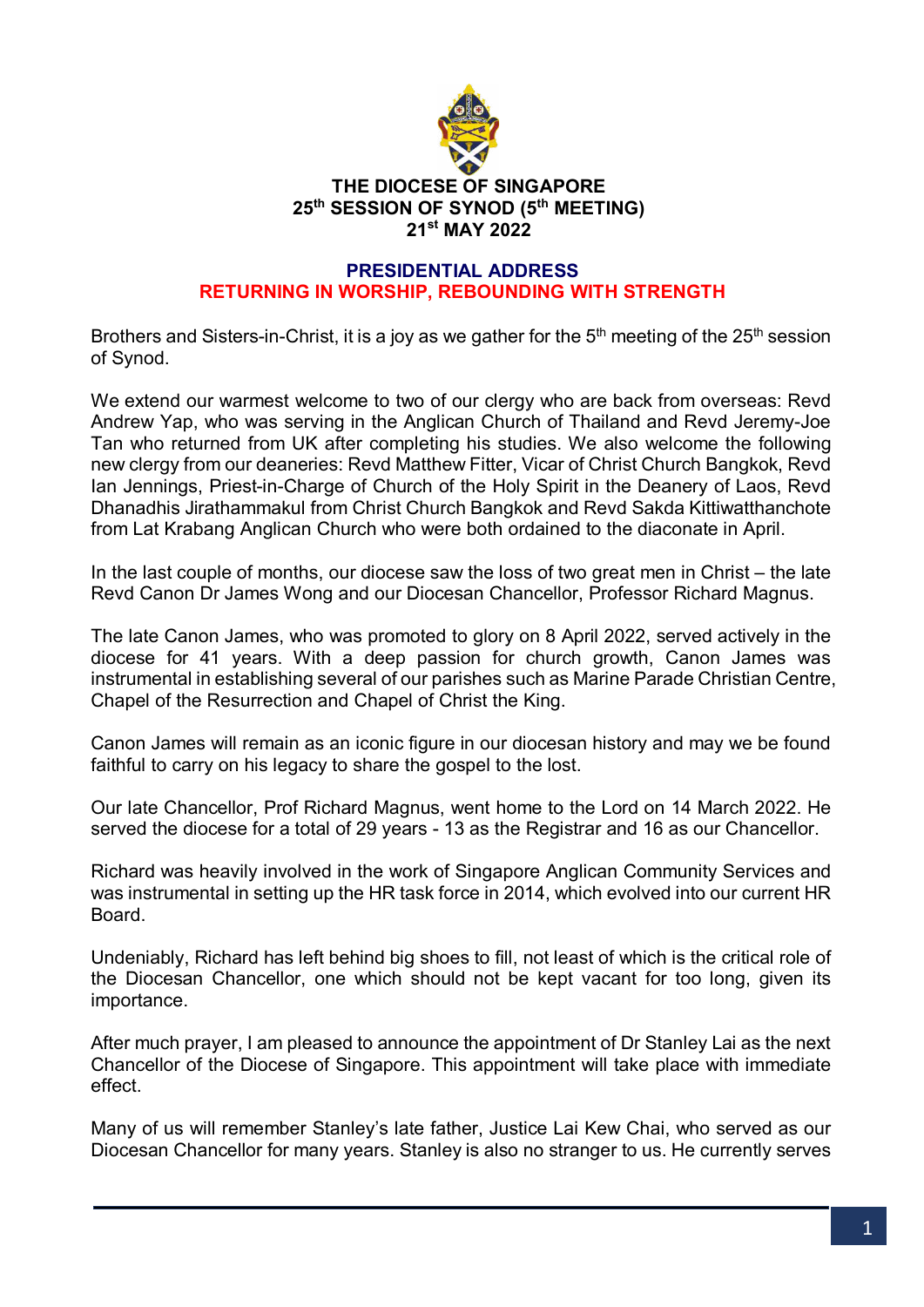

## **THE DIOCESE OF SINGAPORE 25th SESSION OF SYNOD (5 th MEETING) 21st MAY 2022**

### **PRESIDENTIAL ADDRESS RETURNING IN WORSHIP, REBOUNDING WITH STRENGTH**

Brothers and Sisters-in-Christ, it is a joy as we gather for the  $5<sup>th</sup>$  meeting of the 25<sup>th</sup> session of Synod.

We extend our warmest welcome to two of our clergy who are back from overseas: Revd Andrew Yap, who was serving in the Anglican Church of Thailand and Revd Jeremy-Joe Tan who returned from UK after completing his studies. We also welcome the following new clergy from our deaneries: Revd Matthew Fitter, Vicar of Christ Church Bangkok, Revd Ian Jennings, Priest-in-Charge of Church of the Holy Spirit in the Deanery of Laos, Revd Dhanadhis Jirathammakul from Christ Church Bangkok and Revd Sakda Kittiwatthanchote from Lat Krabang Anglican Church who were both ordained to the diaconate in April.

In the last couple of months, our diocese saw the loss of two great men in Christ – the late Revd Canon Dr James Wong and our Diocesan Chancellor, Professor Richard Magnus.

The late Canon James, who was promoted to glory on 8 April 2022, served actively in the diocese for 41 years. With a deep passion for church growth, Canon James was instrumental in establishing several of our parishes such as Marine Parade Christian Centre, Chapel of the Resurrection and Chapel of Christ the King.

Canon James will remain as an iconic figure in our diocesan history and may we be found faithful to carry on his legacy to share the gospel to the lost.

Our late Chancellor, Prof Richard Magnus, went home to the Lord on 14 March 2022. He served the diocese for a total of 29 years - 13 as the Registrar and 16 as our Chancellor.

Richard was heavily involved in the work of Singapore Anglican Community Services and was instrumental in setting up the HR task force in 2014, which evolved into our current HR **Board** 

Undeniably, Richard has left behind big shoes to fill, not least of which is the critical role of the Diocesan Chancellor, one which should not be kept vacant for too long, given its importance.

After much prayer, I am pleased to announce the appointment of Dr Stanley Lai as the next Chancellor of the Diocese of Singapore. This appointment will take place with immediate effect.

Many of us will remember Stanley's late father, Justice Lai Kew Chai, who served as our Diocesan Chancellor for many years. Stanley is also no stranger to us. He currently serves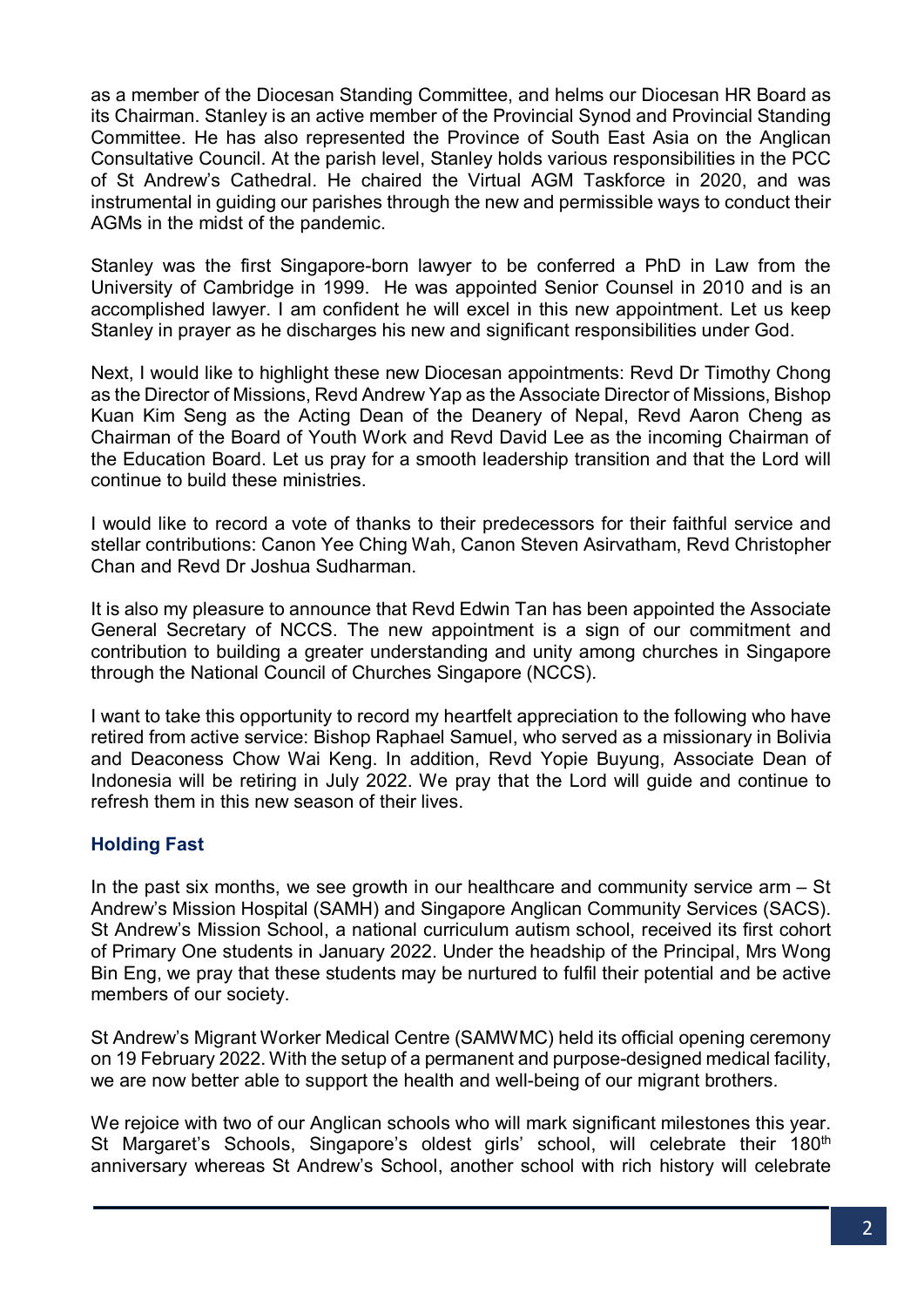as a member of the Diocesan Standing Committee, and helms our Diocesan HR Board as its Chairman. Stanley is an active member of the Provincial Synod and Provincial Standing Committee. He has also represented the Province of South East Asia on the Anglican Consultative Council. At the parish level, Stanley holds various responsibilities in the PCC of St Andrew's Cathedral. He chaired the Virtual AGM Taskforce in 2020, and was instrumental in guiding our parishes through the new and permissible ways to conduct their AGMs in the midst of the pandemic.

Stanley was the first Singapore-born lawyer to be conferred a PhD in Law from the University of Cambridge in 1999. He was appointed Senior Counsel in 2010 and is an accomplished lawyer. I am confident he will excel in this new appointment. Let us keep Stanley in prayer as he discharges his new and significant responsibilities under God.

Next, I would like to highlight these new Diocesan appointments: Revd Dr Timothy Chong as the Director of Missions, Revd Andrew Yap as the Associate Director of Missions, Bishop Kuan Kim Seng as the Acting Dean of the Deanery of Nepal, Revd Aaron Cheng as Chairman of the Board of Youth Work and Revd David Lee as the incoming Chairman of the Education Board. Let us pray for a smooth leadership transition and that the Lord will continue to build these ministries.

I would like to record a vote of thanks to their predecessors for their faithful service and stellar contributions: Canon Yee Ching Wah, Canon Steven Asirvatham, Revd Christopher Chan and Revd Dr Joshua Sudharman.

It is also my pleasure to announce that Revd Edwin Tan has been appointed the Associate General Secretary of NCCS. The new appointment is a sign of our commitment and contribution to building a greater understanding and unity among churches in Singapore through the National Council of Churches Singapore (NCCS).

I want to take this opportunity to record my heartfelt appreciation to the following who have retired from active service: Bishop Raphael Samuel, who served as a missionary in Bolivia and Deaconess Chow Wai Keng. In addition, Revd Yopie Buyung, Associate Dean of Indonesia will be retiring in July 2022. We pray that the Lord will guide and continue to refresh them in this new season of their lives.

# **Holding Fast**

In the past six months, we see growth in our healthcare and community service  $arm - St$ Andrew's Mission Hospital (SAMH) and Singapore Anglican Community Services (SACS). St Andrew's Mission School, a national curriculum autism school, received its first cohort of Primary One students in January 2022. Under the headship of the Principal, Mrs Wong Bin Eng, we pray that these students may be nurtured to fulfil their potential and be active members of our society.

St Andrew's Migrant Worker Medical Centre (SAMWMC) held its official opening ceremony on 19 February 2022. With the setup of a permanent and purpose-designed medical facility, we are now better able to support the health and well-being of our migrant brothers.

We rejoice with two of our Anglican schools who will mark significant milestones this year. St Margaret's Schools, Singapore's oldest girls' school, will celebrate their 180<sup>th</sup> anniversary whereas St Andrew's School, another school with rich history will celebrate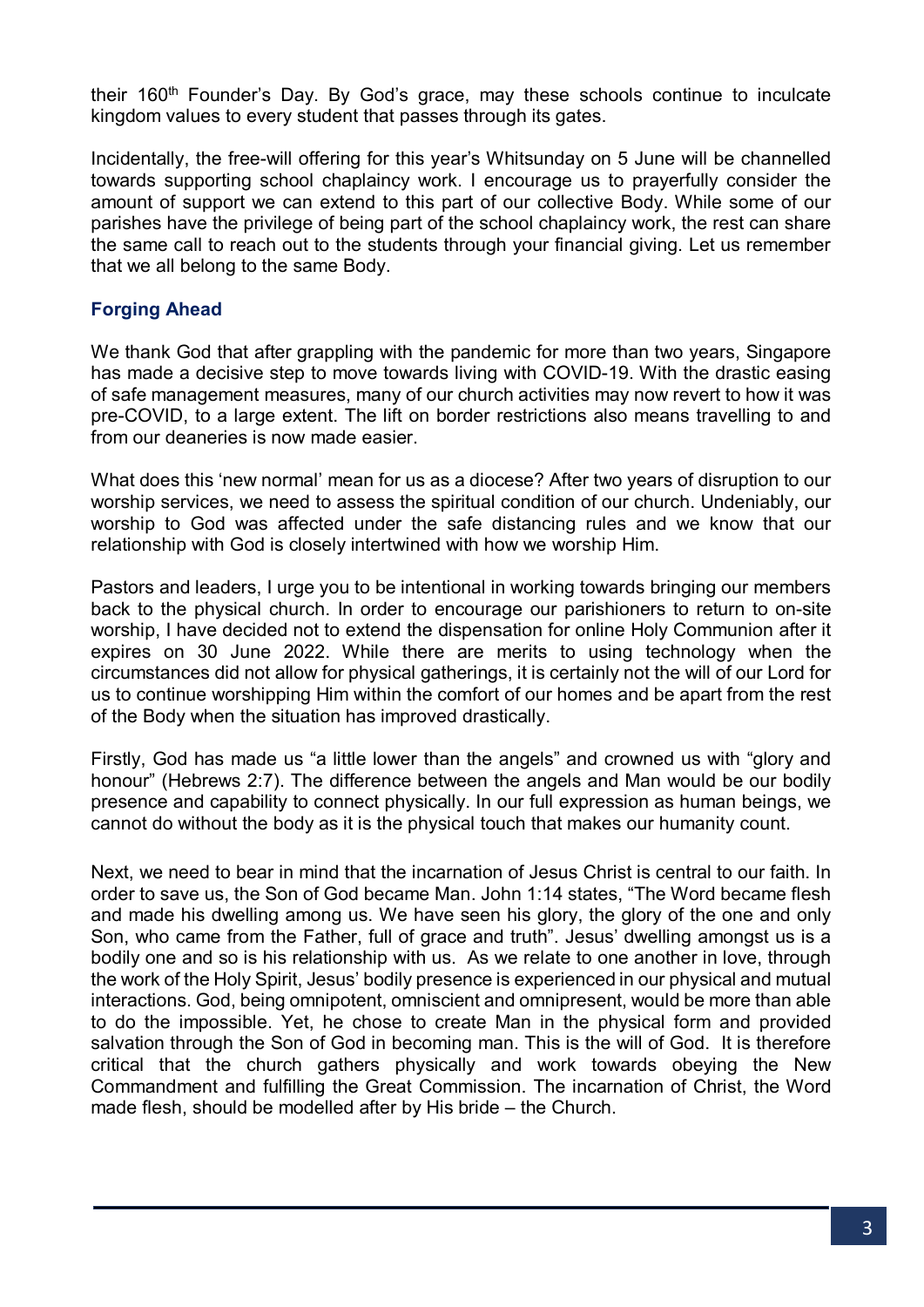their 160<sup>th</sup> Founder's Day. By God's grace, may these schools continue to inculcate kingdom values to every student that passes through its gates.

Incidentally, the free-will offering for this year's Whitsunday on 5 June will be channelled towards supporting school chaplaincy work. I encourage us to prayerfully consider the amount of support we can extend to this part of our collective Body. While some of our parishes have the privilege of being part of the school chaplaincy work, the rest can share the same call to reach out to the students through your financial giving. Let us remember that we all belong to the same Body.

## **Forging Ahead**

We thank God that after grappling with the pandemic for more than two vears, Singapore has made a decisive step to move towards living with COVID-19. With the drastic easing of safe management measures, many of our church activities may now revert to how it was pre-COVID, to a large extent. The lift on border restrictions also means travelling to and from our deaneries is now made easier.

What does this 'new normal' mean for us as a diocese? After two years of disruption to our worship services, we need to assess the spiritual condition of our church. Undeniably, our worship to God was affected under the safe distancing rules and we know that our relationship with God is closely intertwined with how we worship Him.

Pastors and leaders, I urge you to be intentional in working towards bringing our members back to the physical church. In order to encourage our parishioners to return to on-site worship, I have decided not to extend the dispensation for online Holy Communion after it expires on 30 June 2022. While there are merits to using technology when the circumstances did not allow for physical gatherings, it is certainly not the will of our Lord for us to continue worshipping Him within the comfort of our homes and be apart from the rest of the Body when the situation has improved drastically.

Firstly, God has made us "a little lower than the angels" and crowned us with "glory and honour" (Hebrews 2:7). The difference between the angels and Man would be our bodily presence and capability to connect physically. In our full expression as human beings, we cannot do without the body as it is the physical touch that makes our humanity count.

Next, we need to bear in mind that the incarnation of Jesus Christ is central to our faith. In order to save us, the Son of God became Man. John 1:14 states, "The Word became flesh and made his dwelling among us. We have seen his glory, the glory of the one and only Son, who came from the Father, full of grace and truth". Jesus' dwelling amongst us is a bodily one and so is his relationship with us. As we relate to one another in love, through the work of the Holy Spirit, Jesus' bodily presence is experienced in our physical and mutual interactions. God, being omnipotent, omniscient and omnipresent, would be more than able to do the impossible. Yet, he chose to create Man in the physical form and provided salvation through the Son of God in becoming man. This is the will of God. It is therefore critical that the church gathers physically and work towards obeying the New Commandment and fulfilling the Great Commission. The incarnation of Christ, the Word made flesh, should be modelled after by His bride – the Church.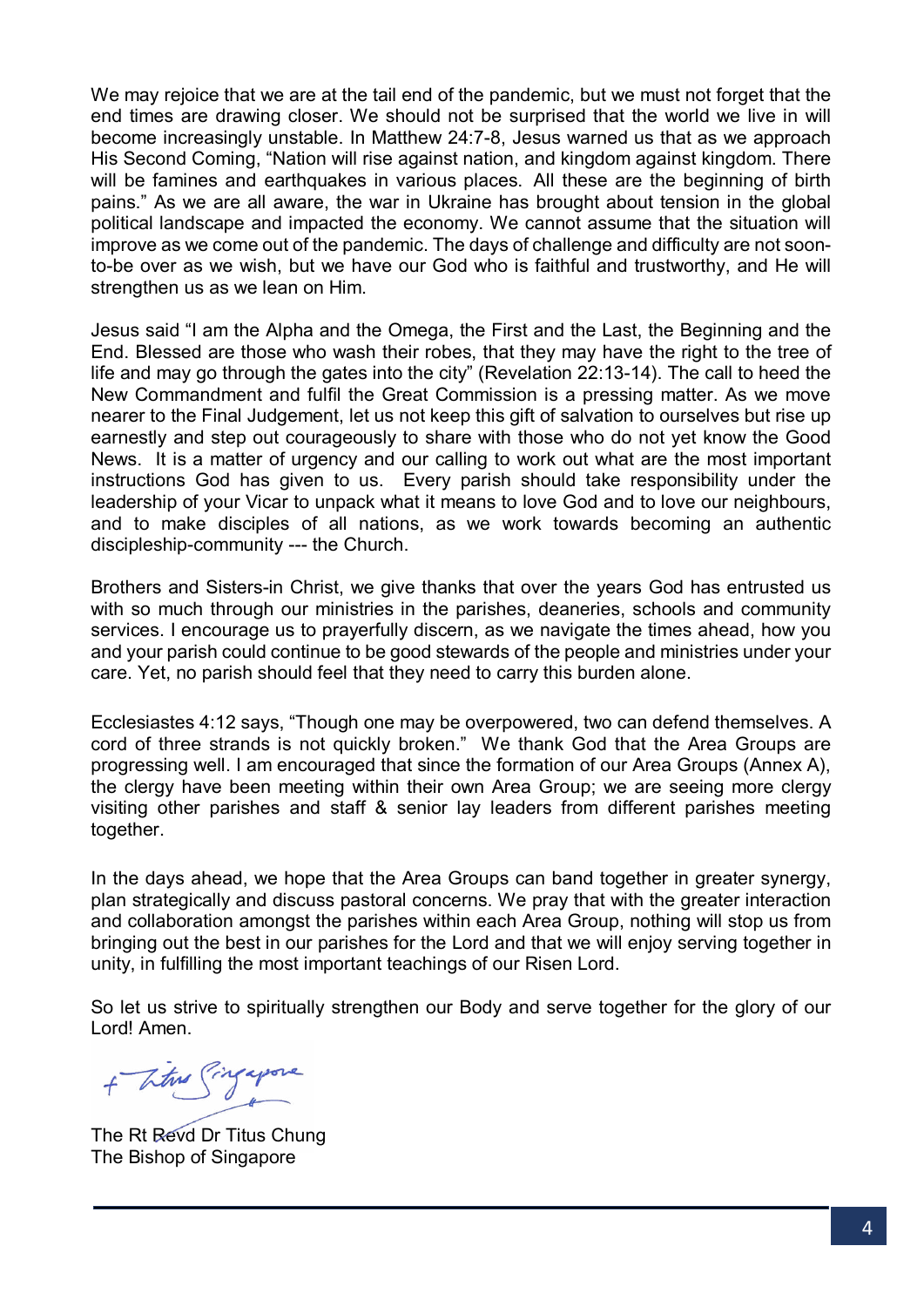We may rejoice that we are at the tail end of the pandemic, but we must not forget that the end times are drawing closer. We should not be surprised that the world we live in will become increasingly unstable. In Matthew 24:7-8, Jesus warned us that as we approach His Second Coming, "Nation will rise against nation, and kingdom against kingdom. There will be famines and earthquakes in various places. All these are the beginning of birth pains." As we are all aware, the war in Ukraine has brought about tension in the global political landscape and impacted the economy. We cannot assume that the situation will improve as we come out of the pandemic. The days of challenge and difficulty are not soonto-be over as we wish, but we have our God who is faithful and trustworthy, and He will strengthen us as we lean on Him.

Jesus said "I am the Alpha and the Omega, the First and the Last, the Beginning and the End. Blessed are those who wash their robes, that they may have the right to the tree of life and may go through the gates into the city" (Revelation 22:13-14). The call to heed the New Commandment and fulfil the Great Commission is a pressing matter. As we move nearer to the Final Judgement, let us not keep this gift of salvation to ourselves but rise up earnestly and step out courageously to share with those who do not yet know the Good News. It is a matter of urgency and our calling to work out what are the most important instructions God has given to us. Every parish should take responsibility under the leadership of your Vicar to unpack what it means to love God and to love our neighbours, and to make disciples of all nations, as we work towards becoming an authentic discipleship-community --- the Church.

Brothers and Sisters-in Christ, we give thanks that over the years God has entrusted us with so much through our ministries in the parishes, deaneries, schools and community services. I encourage us to prayerfully discern, as we navigate the times ahead, how you and your parish could continue to be good stewards of the people and ministries under your care. Yet, no parish should feel that they need to carry this burden alone.

Ecclesiastes 4:12 says, "Though one may be overpowered, two can defend themselves. A cord of three strands is not quickly broken." We thank God that the Area Groups are progressing well. I am encouraged that since the formation of our Area Groups (Annex A), the clergy have been meeting within their own Area Group; we are seeing more clergy visiting other parishes and staff & senior lay leaders from different parishes meeting together.

In the days ahead, we hope that the Area Groups can band together in greater synergy, plan strategically and discuss pastoral concerns. We pray that with the greater interaction and collaboration amongst the parishes within each Area Group, nothing will stop us from bringing out the best in our parishes for the Lord and that we will enjoy serving together in unity, in fulfilling the most important teachings of our Risen Lord.

So let us strive to spiritually strengthen our Body and serve together for the glory of our Lord! Amen.

+ These Singapone

The Rt Revd Dr Titus Chung The Bishop of Singapore